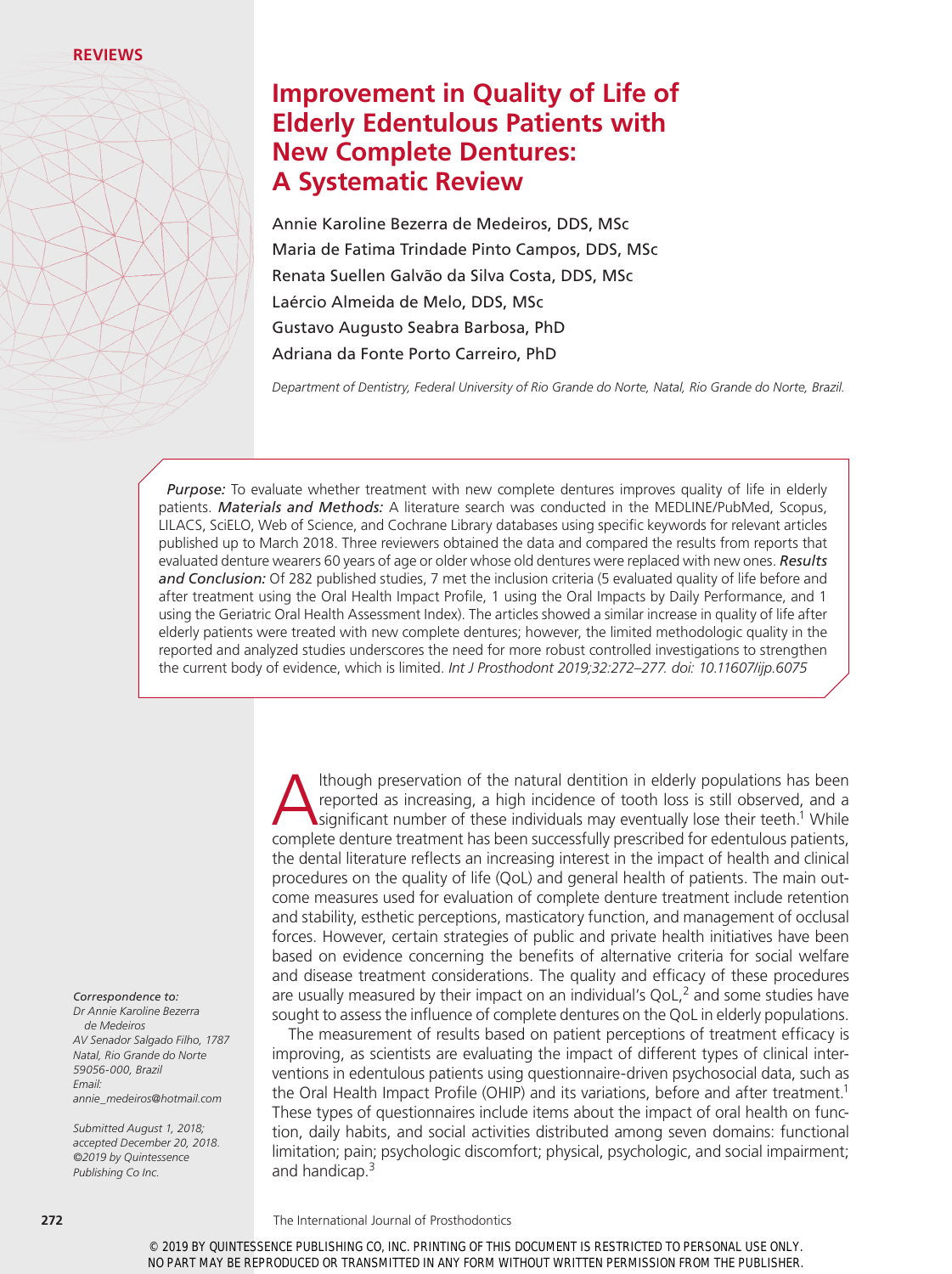# **Improvement in Quality of Life of Elderly Edentulous Patients with New Complete Dentures: A Systematic Review**

Annie Karoline Bezerra de Medeiros, DDS, MSc Maria de Fatima Trindade Pinto Campos, DDS, MSc Renata Suellen Galvão da Silva Costa, DDS, MSc Laércio Almeida de Melo, DDS, MSc Gustavo Augusto Seabra Barbosa, PhD Adriana da Fonte Porto Carreiro, PhD

*Department of Dentistry, Federal University of Rio Grande do Norte, Natal, Rio Grande do Norte, Brazil.*

*Purpose:* To evaluate whether treatment with new complete dentures improves quality of life in elderly patients. *Materials and Methods:* A literature search was conducted in the MEDLINE/PubMed, Scopus, LILACS, SciELO, Web of Science, and Cochrane Library databases using specific keywords for relevant articles published up to March 2018. Three reviewers obtained the data and compared the results from reports that evaluated denture wearers 60 years of age or older whose old dentures were replaced with new ones. *Results and Conclusion:* Of 282 published studies, 7 met the inclusion criteria (5 evaluated quality of life before and after treatment using the Oral Health Impact Profile, 1 using the Oral Impacts by Daily Performance, and 1 using the Geriatric Oral Health Assessment Index). The articles showed a similar increase in quality of life after elderly patients were treated with new complete dentures; however, the limited methodologic quality in the reported and analyzed studies underscores the need for more robust controlled investigations to strengthen the current body of evidence, which is limited. *Int J Prosthodont 2019;32:272–277. doi: 10.11607/ijp.6075*

> Ithough preservation of the natural dentition in elderly populations has been<br>reported as increasing, a high incidence of tooth loss is still observed, and a<br>significant number of these individuals may eventually lose thei reported as increasing, a high incidence of tooth loss is still observed, and a significant number of these individuals may eventually lose their teeth.<sup>1</sup> While complete denture treatment has been successfully prescribed for edentulous patients, the dental literature reflects an increasing interest in the impact of health and clinical procedures on the quality of life (QoL) and general health of patients. The main outcome measures used for evaluation of complete denture treatment include retention and stability, esthetic perceptions, masticatory function, and management of occlusal forces. However, certain strategies of public and private health initiatives have been based on evidence concerning the benefits of alternative criteria for social welfare and disease treatment considerations. The quality and efficacy of these procedures are usually measured by their impact on an individual's QoL, $<sup>2</sup>$  and some studies have</sup> sought to assess the influence of complete dentures on the QoL in elderly populations.

> The measurement of results based on patient perceptions of treatment efficacy is improving, as scientists are evaluating the impact of different types of clinical interventions in edentulous patients using questionnaire-driven psychosocial data, such as the Oral Health Impact Profile (OHIP) and its variations, before and after treatment.<sup>1</sup> These types of questionnaires include items about the impact of oral health on function, daily habits, and social activities distributed among seven domains: functional limitation; pain; psychologic discomfort; physical, psychologic, and social impairment; and handicap.3

#### *Correspondence to:*

*Dr Annie Karoline Bezerra de Medeiros AV Senador Salgado Filho, 1787 Natal, Rio Grande do Norte 59056-000, Brazil Email: annie\_medeiros@hotmail.com*

*Submitted August 1, 2018; accepted December 20, 2018. ©2019 by Quintessence Publishing Co Inc.*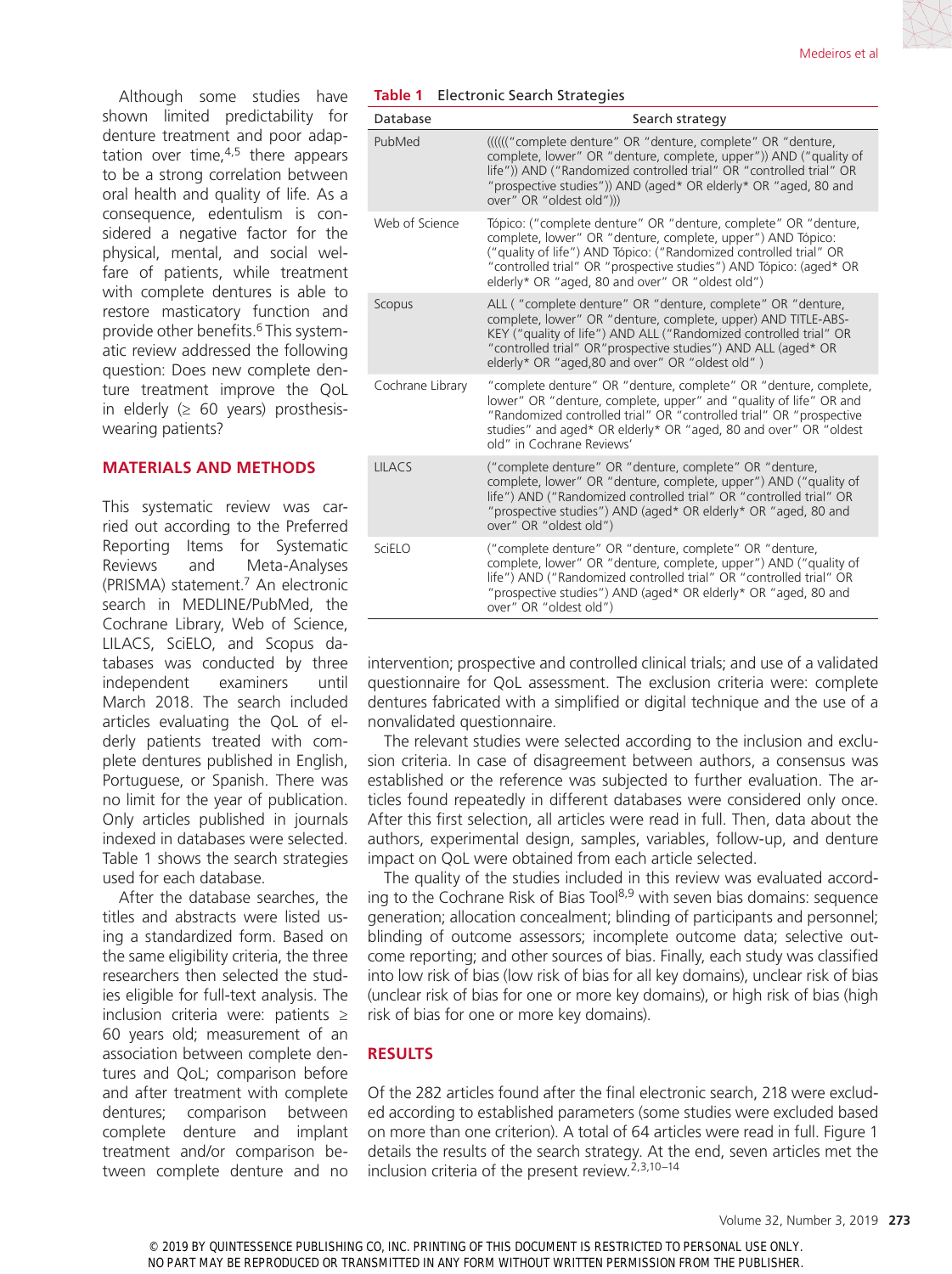Although some studies have shown limited predictability for denture treatment and poor adaptation over time, $4.5$  there appears to be a strong correlation between oral health and quality of life. As a consequence, edentulism is considered a negative factor for the physical, mental, and social welfare of patients, while treatment with complete dentures is able to restore masticatory function and provide other benefits.6 This systematic review addressed the following question: Does new complete denture treatment improve the QoL in elderly  $(≥ 60 years)$  prosthesiswearing patients?

# **MATERIALS AND METHODS**

This systematic review was carried out according to the Preferred Reporting Items for Systematic Reviews and Meta-Analyses (PRISMA) statement.7 An electronic search in MEDLINE/PubMed, the Cochrane Library, Web of Science, LILACS, SciELO, and Scopus databases was conducted by three independent examiners until March 2018. The search included articles evaluating the QoL of elderly patients treated with complete dentures published in English, Portuguese, or Spanish. There was no limit for the year of publication. Only articles published in journals indexed in databases were selected. Table 1 shows the search strategies used for each database.

After the database searches, the titles and abstracts were listed using a standardized form. Based on the same eligibility criteria, the three researchers then selected the studies eligible for full-text analysis. The inclusion criteria were: patients ≥ 60 years old; measurement of an association between complete dentures and QoL; comparison before and after treatment with complete dentures; comparison between complete denture and implant treatment and/or comparison between complete denture and no **Table 1** Electronic Search Strategies

| Database         | Search strategy                                                                                                                                                                                                                                                                                                               |  |  |  |  |
|------------------|-------------------------------------------------------------------------------------------------------------------------------------------------------------------------------------------------------------------------------------------------------------------------------------------------------------------------------|--|--|--|--|
| PubMed           | (((((("complete denture" OR "denture, complete" OR "denture,<br>complete, lower" OR "denture, complete, upper")) AND ("quality of<br>life")) AND ("Randomized controlled trial" OR "controlled trial" OR<br>"prospective studies")) AND (aged* OR elderly* OR "aged, 80 and<br>over" OR "oldest old")))                       |  |  |  |  |
| Web of Science   | Tópico: ("complete denture" OR "denture, complete" OR "denture,<br>complete, lower" OR "denture, complete, upper") AND Tópico:<br>("quality of life") AND Tópico: ("Randomized controlled trial" OR<br>"controlled trial" OR "prospective studies") AND Tópico: (aged* OR<br>elderly* OR "aged, 80 and over" OR "oldest old") |  |  |  |  |
| Scopus           | ALL ("complete denture" OR "denture, complete" OR "denture,<br>complete, lower" OR "denture, complete, upper) AND TITLE-ABS-<br>KEY ("quality of life") AND ALL ("Randomized controlled trial" OR<br>"controlled trial" OR"prospective studies") AND ALL (aged* OR<br>elderly* OR "aged, 80 and over" OR "oldest old")        |  |  |  |  |
| Cochrane Library | "complete denture" OR "denture, complete" OR "denture, complete,<br>lower" OR "denture, complete, upper" and "quality of life" OR and<br>"Randomized controlled trial" OR "controlled trial" OR "prospective<br>studies" and aged* OR elderly* OR "aged, 80 and over" OR "oldest<br>old" in Cochrane Reviews'                 |  |  |  |  |
| <b>LILACS</b>    | ("complete denture" OR "denture, complete" OR "denture,<br>complete, lower" OR "denture, complete, upper") AND ("quality of<br>life") AND ("Randomized controlled trial" OR "controlled trial" OR<br>"prospective studies") AND (aged* OR elderly* OR "aged, 80 and<br>over" OR "oldest old")                                 |  |  |  |  |
| SciELO           | ("complete denture" OR "denture, complete" OR "denture,<br>complete, lower" OR "denture, complete, upper") AND ("quality of<br>life") AND ("Randomized controlled trial" OR "controlled trial" OR<br>"prospective studies") AND (aged* OR elderly* OR "aged, 80 and<br>over" OR "oldest old")                                 |  |  |  |  |

intervention; prospective and controlled clinical trials; and use of a validated questionnaire for QoL assessment. The exclusion criteria were: complete dentures fabricated with a simplified or digital technique and the use of a nonvalidated questionnaire.

The relevant studies were selected according to the inclusion and exclusion criteria. In case of disagreement between authors, a consensus was established or the reference was subjected to further evaluation. The articles found repeatedly in different databases were considered only once. After this first selection, all articles were read in full. Then, data about the authors, experimental design, samples, variables, follow-up, and denture impact on QoL were obtained from each article selected.

The quality of the studies included in this review was evaluated according to the Cochrane Risk of Bias Tool<sup>8,9</sup> with seven bias domains: sequence generation; allocation concealment; blinding of participants and personnel; blinding of outcome assessors; incomplete outcome data; selective outcome reporting; and other sources of bias. Finally, each study was classified into low risk of bias (low risk of bias for all key domains), unclear risk of bias (unclear risk of bias for one or more key domains), or high risk of bias (high risk of bias for one or more key domains).

# **RESULTS**

Of the 282 articles found after the final electronic search, 218 were excluded according to established parameters (some studies were excluded based on more than one criterion). A total of 64 articles were read in full. Figure 1 details the results of the search strategy. At the end, seven articles met the inclusion criteria of the present review.2,3,10–14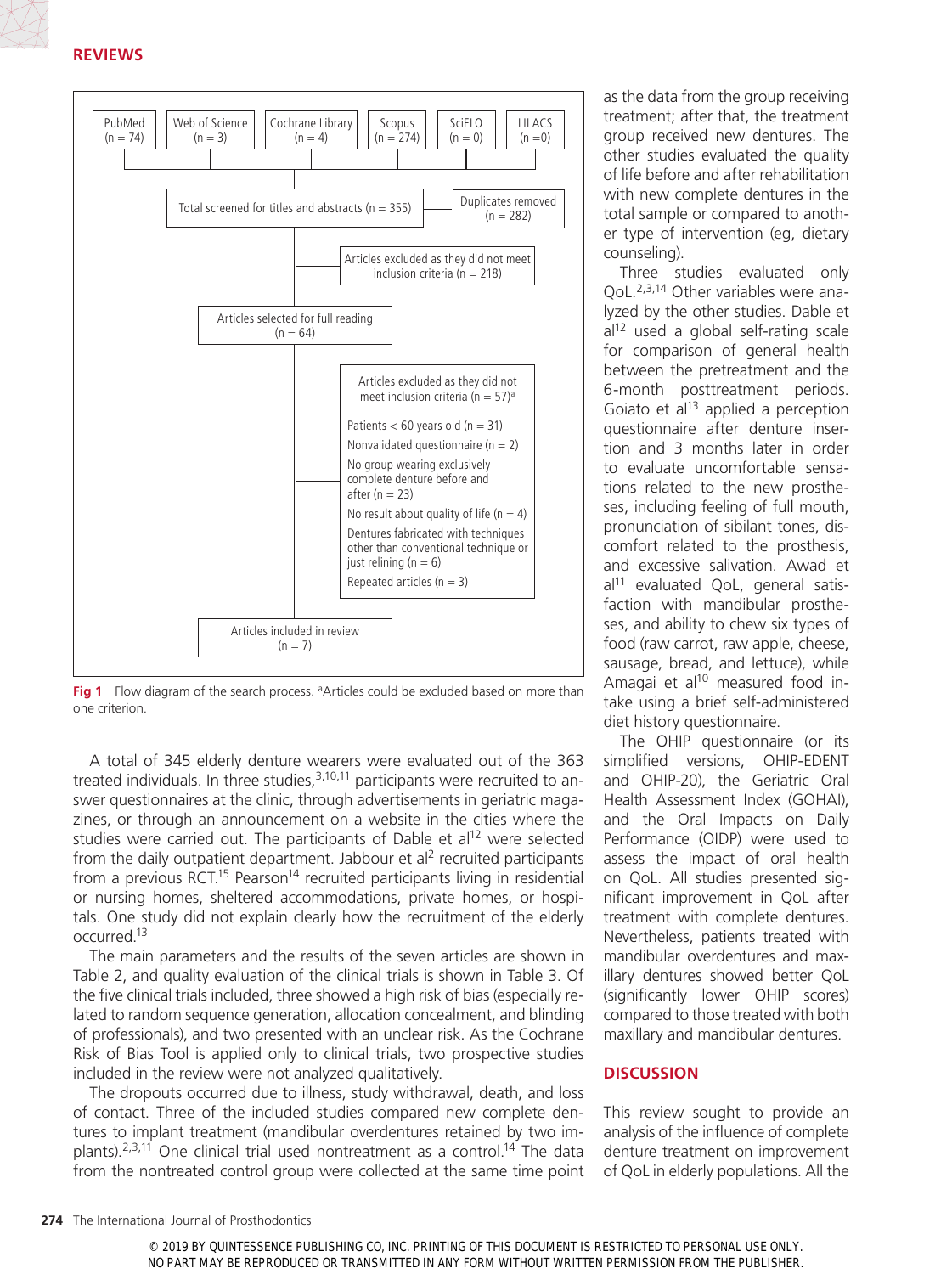

Fig 1 Flow diagram of the search process. <sup>a</sup>Articles could be excluded based on more than one criterion.

A total of 345 elderly denture wearers were evaluated out of the 363 treated individuals. In three studies, $3,10,11$  participants were recruited to answer questionnaires at the clinic, through advertisements in geriatric magazines, or through an announcement on a website in the cities where the studies were carried out. The participants of Dable et al<sup>12</sup> were selected from the daily outpatient department. Jabbour et al<sup>2</sup> recruited participants from a previous RCT.<sup>15</sup> Pearson<sup>14</sup> recruited participants living in residential or nursing homes, sheltered accommodations, private homes, or hospitals. One study did not explain clearly how the recruitment of the elderly occurred.13

The main parameters and the results of the seven articles are shown in Table 2, and quality evaluation of the clinical trials is shown in Table 3. Of the five clinical trials included, three showed a high risk of bias (especially related to random sequence generation, allocation concealment, and blinding of professionals), and two presented with an unclear risk. As the Cochrane Risk of Bias Tool is applied only to clinical trials, two prospective studies included in the review were not analyzed qualitatively.

The dropouts occurred due to illness, study withdrawal, death, and loss of contact. Three of the included studies compared new complete dentures to implant treatment (mandibular overdentures retained by two implants). $2,3,11$  One clinical trial used nontreatment as a control.<sup>14</sup> The data from the nontreated control group were collected at the same time point as the data from the group receiving treatment; after that, the treatment group received new dentures. The other studies evaluated the quality of life before and after rehabilitation with new complete dentures in the total sample or compared to another type of intervention (eg, dietary counseling).

Three studies evaluated only QoL.2,3,14 Other variables were analyzed by the other studies. Dable et  $al<sup>12</sup>$  used a global self-rating scale for comparison of general health between the pretreatment and the 6-month posttreatment periods. Goiato et  $al<sup>13</sup>$  applied a perception questionnaire after denture insertion and 3 months later in order to evaluate uncomfortable sensations related to the new prostheses, including feeling of full mouth, pronunciation of sibilant tones, discomfort related to the prosthesis, and excessive salivation. Awad et  $al<sup>11</sup>$  evaluated QoL, general satisfaction with mandibular prostheses, and ability to chew six types of food (raw carrot, raw apple, cheese, sausage, bread, and lettuce), while Amagai et al<sup>10</sup> measured food intake using a brief self-administered diet history questionnaire.

The OHIP questionnaire (or its simplified versions, OHIP-EDENT and OHIP-20), the Geriatric Oral Health Assessment Index (GOHAI), and the Oral Impacts on Daily Performance (OIDP) were used to assess the impact of oral health on QoL. All studies presented significant improvement in QoL after treatment with complete dentures. Nevertheless, patients treated with mandibular overdentures and maxillary dentures showed better QoL (significantly lower OHIP scores) compared to those treated with both maxillary and mandibular dentures.

### **DISCUSSION**

This review sought to provide an analysis of the influence of complete denture treatment on improvement of QoL in elderly populations. All the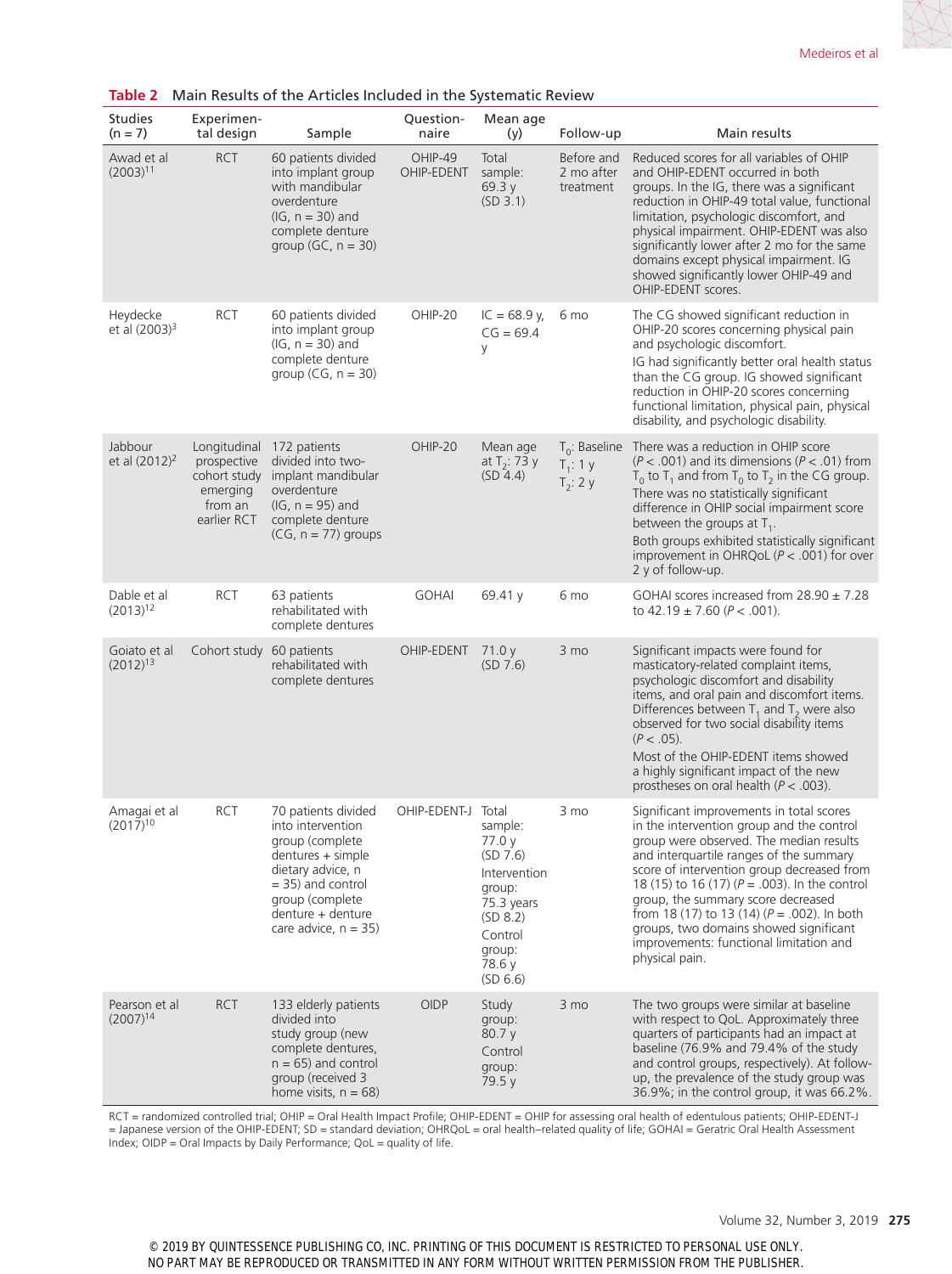| <b>Studies</b><br>$(n = 7)$           | Experimen-<br>tal design                                                          | Sample                                                                                                                                                                                           | Question-<br>naire    | Mean age<br>(y)                                                                                                                       | Follow-up                                      | Main results                                                                                                                                                                                                                                                                                                                                                                                                                                                                 |
|---------------------------------------|-----------------------------------------------------------------------------------|--------------------------------------------------------------------------------------------------------------------------------------------------------------------------------------------------|-----------------------|---------------------------------------------------------------------------------------------------------------------------------------|------------------------------------------------|------------------------------------------------------------------------------------------------------------------------------------------------------------------------------------------------------------------------------------------------------------------------------------------------------------------------------------------------------------------------------------------------------------------------------------------------------------------------------|
| Awad et al<br>$(2003)^{11}$           | <b>RCT</b>                                                                        | 60 patients divided<br>into implant group<br>with mandibular<br>overdenture<br>$(IG, n = 30)$ and<br>complete denture<br>group $(GC, n = 30)$                                                    | OHIP-49<br>OHIP-EDENT | Total<br>sample:<br>69.3 y<br>(SD 3.1)                                                                                                | Before and<br>2 mo after<br>treatment          | Reduced scores for all variables of OHIP<br>and OHIP-EDENT occurred in both<br>groups. In the IG, there was a significant<br>reduction in OHIP-49 total value, functional<br>limitation, psychologic discomfort, and<br>physical impairment. OHIP-EDENT was also<br>significantly lower after 2 mo for the same<br>domains except physical impairment. IG<br>showed significantly lower OHIP-49 and<br>OHIP-EDENT scores.                                                    |
| Heydecke<br>et al (2003) <sup>3</sup> | <b>RCT</b>                                                                        | 60 patients divided<br>into implant group<br>$(IG, n = 30)$ and<br>complete denture<br>group $(CG, n = 30)$                                                                                      | OHIP-20               | $IC = 68.9$ y,<br>$CG = 69.4$<br>У                                                                                                    | 6 mo                                           | The CG showed significant reduction in<br>OHIP-20 scores concerning physical pain<br>and psychologic discomfort.<br>IG had significantly better oral health status<br>than the CG group. IG showed significant<br>reduction in OHIP-20 scores concerning<br>functional limitation, physical pain, physical<br>disability, and psychologic disability.                                                                                                                        |
| Jabbour<br>et al $(2012)^2$           | Longitudinal<br>prospective<br>cohort study<br>emerging<br>from an<br>earlier RCT | 172 patients<br>divided into two-<br>implant mandibular<br>overdenture<br>$(IG, n = 95)$ and<br>complete denture<br>$(CG, n = 77)$ groups                                                        | OHIP-20               | Mean age<br>at $T_2$ : 73 y<br>(SD 4.4)                                                                                               | $T_0$ : Baseline<br>$T_1$ : 1 y<br>$T_2$ : 2 y | There was a reduction in OHIP score<br>$(P < .001)$ and its dimensions $(P < .01)$ from<br>$T_0$ to $T_1$ and from $T_0$ to $T_2$ in the CG group.<br>There was no statistically significant<br>difference in OHIP social impairment score<br>between the groups at $T_1$ .<br>Both groups exhibited statistically significant<br>improvement in OHRQoL ( $P < .001$ ) for over<br>2 y of follow-up.                                                                         |
| Dable et al<br>$(2013)^{12}$          | <b>RCT</b>                                                                        | 63 patients<br>rehabilitated with<br>complete dentures                                                                                                                                           | <b>GOHAI</b>          | 69.41 $y$                                                                                                                             | 6 mo                                           | GOHAI scores increased from $28.90 \pm 7.28$<br>to $42.19 \pm 7.60$ ( $P < .001$ ).                                                                                                                                                                                                                                                                                                                                                                                          |
| Goiato et al<br>$(2012)^{13}$         | Cohort study 60 patients                                                          | rehabilitated with<br>complete dentures                                                                                                                                                          | OHIP-EDENT            | 71.0 y<br>(SD 7.6)                                                                                                                    | 3 mo                                           | Significant impacts were found for<br>masticatory-related complaint items,<br>psychologic discomfort and disability<br>items, and oral pain and discomfort items.<br>Differences between $T_1$ and $T_2$ were also<br>observed for two social disability items<br>$(P < .05)$ .<br>Most of the OHIP-EDENT items showed<br>a highly significant impact of the new<br>prostheses on oral health ( $P < .003$ ).                                                                |
| Amagai et al<br>$(2017)^{10}$         | <b>RCT</b>                                                                        | 70 patients divided<br>into intervention<br>group (complete<br>dentures + simple<br>dietary advice, n<br>$= 35$ ) and control<br>group (complete<br>denture + denture<br>care advice, $n = 35$ ) | OHIP-EDENT-J          | Total<br>sample:<br>77.0 y<br>(SD 7.6)<br>Intervention<br>group:<br>75.3 years<br>(SD 8.2)<br>Control<br>group:<br>78.6 y<br>(SD 6.6) | 3 mo                                           | Significant improvements in total scores<br>in the intervention group and the control<br>group were observed. The median results<br>and interquartile ranges of the summary<br>score of intervention group decreased from<br>18 (15) to 16 (17) $(P = .003)$ . In the control<br>group, the summary score decreased<br>from 18 (17) to 13 (14) $(P = .002)$ . In both<br>groups, two domains showed significant<br>improvements: functional limitation and<br>physical pain. |
| Pearson et al<br>$(2007)^{14}$        | <b>RCT</b>                                                                        | 133 elderly patients<br>divided into<br>study group (new<br>complete dentures,<br>$n = 65$ ) and control<br>group (received 3<br>home visits, $n = 68$ )                                         | <b>OIDP</b>           | Study<br>group:<br>80.7 y<br>Control<br>group:<br>79.5 y                                                                              | 3 mo                                           | The two groups were similar at baseline<br>with respect to QoL. Approximately three<br>quarters of participants had an impact at<br>baseline (76.9% and 79.4% of the study<br>and control groups, respectively). At follow-<br>up, the prevalence of the study group was<br>36.9%; in the control group, it was 66.2%.                                                                                                                                                       |

# **Table 2** Main Results of the Articles Included in the Systematic Review

RCT = randomized controlled trial; OHIP = Oral Health Impact Profile; OHIP-EDENT = OHIP for assessing oral health of edentulous patients; OHIP-EDENT-J = Japanese version of the OHIP-EDENT; SD = standard deviation; OHRQoL = oral health–related quality of life; GOHAI = Geratric Oral Health Assessment Index; OIDP = Oral Impacts by Daily Performance; QoL = quality of life.

© 2019 BY QUINTESSENCE PUBLISHING CO, INC. PRINTING OF THIS DOCUMENT IS RESTRICTED TO PERSONAL USE ONLY. NO PART MAY BE REPRODUCED OR TRANSMITTED IN ANY FORM WITHOUT WRITTEN PERMISSION FROM THE PUBLISHER.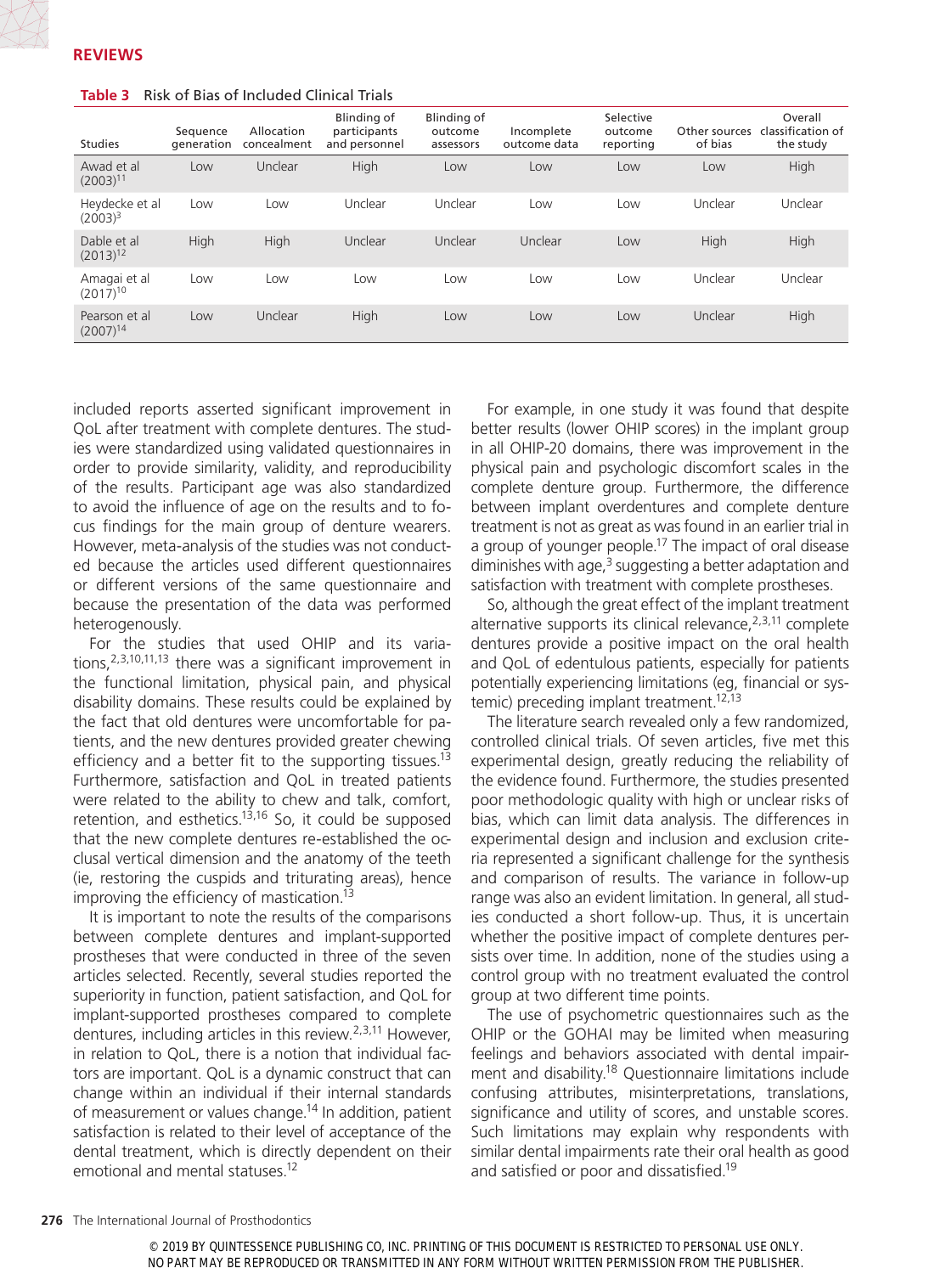| <b>Studies</b>                 | Sequence<br>qeneration | Allocation<br>concealment | Blinding of<br>participants<br>and personnel | <b>Blinding of</b><br>outcome<br>assessors | Incomplete<br>outcome data | Selective<br>outcome<br>reporting | Other sources<br>of bias | Overall<br>classification of<br>the study |
|--------------------------------|------------------------|---------------------------|----------------------------------------------|--------------------------------------------|----------------------------|-----------------------------------|--------------------------|-------------------------------------------|
| Awad et al<br>$(2003)^{11}$    | Low                    | Unclear                   | High                                         | Low                                        | Low                        | Low                               | Low                      | High                                      |
| Heydecke et al<br>$(2003)^3$   | Low                    | Low                       | Unclear                                      | Unclear                                    | Low                        | Low                               | Unclear                  | Unclear                                   |
| Dable et al<br>$(2013)^{12}$   | High                   | High                      | Unclear                                      | Unclear                                    | Unclear                    | Low                               | High                     | High                                      |
| Amagai et al<br>$(2017)^{10}$  | Low                    | Low                       | LOW                                          | Low                                        | Low                        | Low                               | Unclear                  | Unclear                                   |
| Pearson et al<br>$(2007)^{14}$ | Low                    | Unclear                   | High                                         | Low                                        | Low                        | Low                               | Unclear                  | High                                      |

#### **Table 3** Risk of Bias of Included Clinical Trials

included reports asserted significant improvement in QoL after treatment with complete dentures. The studies were standardized using validated questionnaires in order to provide similarity, validity, and reproducibility of the results. Participant age was also standardized to avoid the influence of age on the results and to focus findings for the main group of denture wearers. However, meta-analysis of the studies was not conducted because the articles used different questionnaires or different versions of the same questionnaire and because the presentation of the data was performed heterogenously.

For the studies that used OHIP and its variations,  $2,3,10,11,13$  there was a significant improvement in the functional limitation, physical pain, and physical disability domains. These results could be explained by the fact that old dentures were uncomfortable for patients, and the new dentures provided greater chewing efficiency and a better fit to the supporting tissues.<sup>13</sup> Furthermore, satisfaction and QoL in treated patients were related to the ability to chew and talk, comfort, retention, and esthetics. $13,16$  So, it could be supposed that the new complete dentures re-established the occlusal vertical dimension and the anatomy of the teeth (ie, restoring the cuspids and triturating areas), hence improving the efficiency of mastication.<sup>13</sup>

It is important to note the results of the comparisons between complete dentures and implant-supported prostheses that were conducted in three of the seven articles selected. Recently, several studies reported the superiority in function, patient satisfaction, and QoL for implant-supported prostheses compared to complete dentures, including articles in this review.2,3,11 However, in relation to QoL, there is a notion that individual factors are important. QoL is a dynamic construct that can change within an individual if their internal standards of measurement or values change.<sup>14</sup> In addition, patient satisfaction is related to their level of acceptance of the dental treatment, which is directly dependent on their emotional and mental statuses.12

For example, in one study it was found that despite better results (lower OHIP scores) in the implant group in all OHIP-20 domains, there was improvement in the physical pain and psychologic discomfort scales in the complete denture group. Furthermore, the difference between implant overdentures and complete denture treatment is not as great as was found in an earlier trial in a group of younger people.<sup>17</sup> The impact of oral disease diminishes with age, $3$  suggesting a better adaptation and satisfaction with treatment with complete prostheses.

So, although the great effect of the implant treatment alternative supports its clinical relevance,  $2,3,11$  complete dentures provide a positive impact on the oral health and QoL of edentulous patients, especially for patients potentially experiencing limitations (eg, financial or systemic) preceding implant treatment.<sup>12,13</sup>

The literature search revealed only a few randomized, controlled clinical trials. Of seven articles, five met this experimental design, greatly reducing the reliability of the evidence found. Furthermore, the studies presented poor methodologic quality with high or unclear risks of bias, which can limit data analysis. The differences in experimental design and inclusion and exclusion criteria represented a significant challenge for the synthesis and comparison of results. The variance in follow-up range was also an evident limitation. In general, all studies conducted a short follow-up. Thus, it is uncertain whether the positive impact of complete dentures persists over time. In addition, none of the studies using a control group with no treatment evaluated the control group at two different time points.

The use of psychometric questionnaires such as the OHIP or the GOHAI may be limited when measuring feelings and behaviors associated with dental impairment and disability.18 Questionnaire limitations include confusing attributes, misinterpretations, translations, significance and utility of scores, and unstable scores. Such limitations may explain why respondents with similar dental impairments rate their oral health as good and satisfied or poor and dissatisfied.19